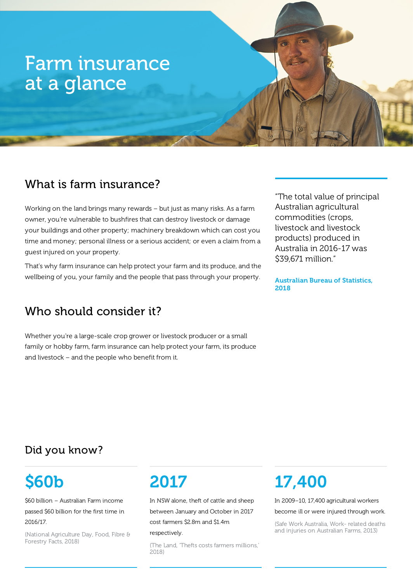# Farm insurance at a glance

## What is farm insurance?

Working on the land brings many rewards – but just as many risks. As a farm owner, you're vulnerable to bushfires that can destroy livestock or damage your buildings and other property; machinery breakdown which can cost you time and money; personal illness or a serious accident; or even a claim from a guest injured on your property.

That's why farm insurance can help protect your farm and its produce, and the wellbeing of you, your family and the people that pass through your property.

## Who should consider it?

Whether you're a large-scale crop grower or livestock producer or a small family or hobby farm, farm insurance can help protect your farm, its produce and livestock – and the people who benefit from it.

"The total value of principal Australian agricultural commodities (crops, livestock and livestock products) produced in Australia in 2016-17 was \$39,671 million."

Australian Bureau of Statistics, 2018

## Did you know?

# \$60b

\$60 billion – Australian Farm income

passed \$60 billion for the first time in 2016/17.

(National Agriculture Day, Food, Fibre & Forestry Facts, 2018)

## 2017

In NSW alone, theft of cattle and sheep between January and October in 2017 cost farmers \$2.8m and \$1.4m

#### respectively.

(The Land, 'Thefts costs farmers millions,' 2018)

# 17,400

In 2009–10, 17,400 agricultural workers

become ill or were injured through work.

(Safe Work Australia, Work- related deaths and injuries on Australian Farms, 2013)